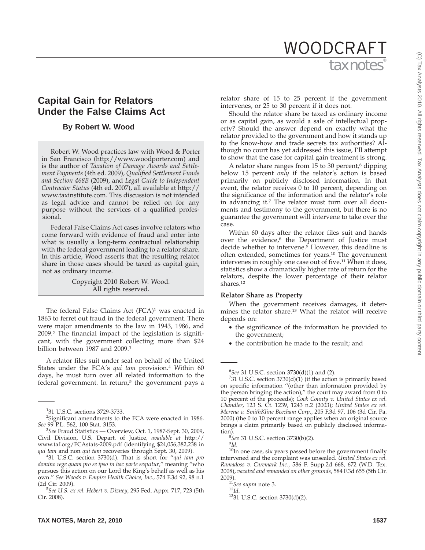# tax notes WOODCRAFT

## **Capital Gain for Relators Under the False Claims Act**

## **By Robert W. Wood**

Robert W. Wood practices law with Wood & Porter in San Francisco (http://www.woodporter.com) and is the author of *Taxation of Damage Awards and Settlement Payments* (4th ed. 2009), *Qualified Settlement Funds and Section 468B* (2009), and *Legal Guide to Independent Contractor Status* (4th ed. 2007), all available at http:// www.taxinstitute.com. This discussion is not intended as legal advice and cannot be relied on for any purpose without the services of a qualified professional.

Federal False Claims Act cases involve relators who come forward with evidence of fraud and enter into what is usually a long-term contractual relationship with the federal government leading to a relator share. In this article, Wood asserts that the resulting relator share in those cases should be taxed as capital gain, not as ordinary income.

> Copyright 2010 Robert W. Wood. All rights reserved.

The federal False Claims Act  $(FCA)^1$  was enacted in 1863 to ferret out fraud in the federal government. There were major amendments to the law in 1943, 1986, and 2009.2 The financial impact of the legislation is significant, with the government collecting more than \$24 billion between 1987 and 2009.<sup>3</sup>

A relator files suit under seal on behalf of the United States under the FCA's *qui tam* provision.4 Within 60 days, he must turn over all related information to the federal government. In return, $5$  the government pays a

31 U.S.C. section 3730(d). That is short for ''*qui tam pro domino rege quam pro se ipso in hac parte sequitur*,'' meaning ''who pursues this action on our Lord the King's behalf as well as his own.'' *See Woods v. Empire Health Choice, Inc*., 574 F.3d 92, 98 n.1 (2d Cir. 2009).

relator share of 15 to 25 percent if the government intervenes, or 25 to 30 percent if it does not.

Should the relator share be taxed as ordinary income or as capital gain, as would a sale of intellectual property? Should the answer depend on exactly what the relator provided to the government and how it stands up to the know-how and trade secrets tax authorities? Although no court has yet addressed this issue, I'll attempt to show that the case for capital gain treatment is strong.

A relator share ranges from 15 to 30 percent,<sup>6</sup> dipping below 15 percent *only* if the relator's action is based primarily on publicly disclosed information. In that event, the relator receives 0 to 10 percent, depending on the significance of the information and the relator's role in advancing it.7 The relator must turn over all documents and testimony to the government, but there is no guarantee the government will intervene to take over the case.

Within 60 days after the relator files suit and hands over the evidence,<sup>8</sup> the Department of Justice must decide whether to intervene.<sup>9</sup> However, this deadline is often extended, sometimes for years.10 The government intervenes in roughly one case out of five.11 When it does, statistics show a dramatically higher rate of return for the relators, despite the lower percentage of their relator shares.12

## **Relator Share as Property**

When the government receives damages, it determines the relator share.13 What the relator will receive depends on:

- the significance of the information he provided to the government;
- the contribution he made to the result; and

<sup>8</sup>See 31 U.S.C. section 3730(b)(2).<br><sup>9</sup>Id.

<sup>10</sup>In one case, six years passed before the government finally intervened and the complaint was unsealed. *United States ex rel. Ramadoss v. Caremark Inc*., 586 F. Supp.2d 668, 672 (W.D. Tex. 2008), *vacated and remanded on other grounds*, 584 F.3d 655 (5th Cir.

<sup>11</sup>See supra note 3.<br><sup>12</sup>Id. <sup>13</sup>31 U.S.C. section 3730(d)(2).

<sup>1</sup> 31 U.S.C. sections 3729-3733.

<sup>&</sup>lt;sup>2</sup>Significant amendments to the FCA were enacted in 1986. *See* 99 P.L. 562, 100 Stat. 3153.

<sup>3</sup> *See* Fraud Statistics — Overview, Oct. 1, 1987-Sept. 30, 2009, Civil Division, U.S. Depart. of Justice*, available at* http:// www.taf.org/FCAstats-2009.pdf (identifying \$24,056,382,238 in *qui tam* and non *qui tam* recoveries through Sept. 30, 2009). <sup>4</sup>

*See U.S. ex rel. Hebert v. Dizney*, 295 Fed. Appx. 717, 723 (5th Cir. 2008).

<sup>&</sup>lt;sup>6</sup>See 31 U.S.C. section 3730(d)(1) and (2).<br><sup>7</sup>31 U.S.C. section 3730(d)(1) (if the action

 $731$  U.S.C. section  $3730(d)(1)$  (if the action is primarily based on specific information ''(other than information provided by the person bringing the action),'' the court may award from 0 to 10 percent of the proceeds); *Cook County v. United States ex rel. Chandler*, 123 S. Ct. 1239, 1243 n.2 (2003); *United States ex rel. Merena v. SmithKline Beecham Corp.*, 205 F.3d 97, 106 (3d Cir. Pa. 2000) (the 0 to 10 percent range applies when an original source brings a claim primarily based on publicly disclosed information).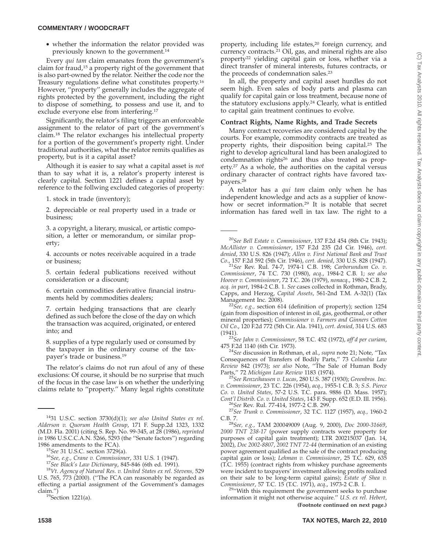## **COMMENTARY / WOODCRAFT**

• whether the information the relator provided was previously known to the government.14

Every *qui tam* claim emanates from the government's claim for fraud,15 a property right of the government that is also part-owned by the relator. Neither the code nor the Treasury regulations define what constitutes property.16 However, ''property'' generally includes the aggregate of rights protected by the government, including the right to dispose of something, to possess and use it, and to exclude everyone else from interfering.17

Significantly, the relator's filing triggers an enforceable assignment to the relator of part of the government's claim.18 The relator exchanges his intellectual property for a portion of the government's property right. Under traditional authorities, what the relator remits qualifies as property, but is it a capital asset?

Although it is easier to say what a capital asset is *not* than to say what it is, a relator's property interest is clearly capital. Section 1221 defines a capital asset by reference to the follwing excluded categories of property:

1. stock in trade (inventory);

2. depreciable or real property used in a trade or business;

3. a copyright, a literary, musical, or artistic composition, a letter or memorandum, or similar property;

4. accounts or notes receivable acquired in a trade or business;

5. certain federal publications received without consideration or a discount;

6. certain commodities derivative financial instruments held by commodities dealers;

7. certain hedging transactions that are clearly defined as such before the close of the day on which the transaction was acquired, originated, or entered into; and

8. supplies of a type regularly used or consumed by the taxpayer in the ordinary course of the taxpayer's trade or business.19

The relator's claims do not run afoul of any of these exclusions: Of course, it should be no surprise that much of the focus in the case law is on whether the underlying claims relate to ''property.'' Many legal rights constitute

U.S. 765, 773 (2000). (''The FCA can reasonably be regarded as effecting a partial assignment of the Government's damages

claim.")<br><sup>19</sup>Section 1221(a).

property, including life estates,<sup>20</sup> foreign currency, and currency contracts.21 Oil, gas, and mineral rights are also property22 yielding capital gain or loss, whether via a direct transfer of mineral interests, futures contracts, or the proceeds of condemnation sales.23

In all, the property and capital asset hurdles do not seem high. Even sales of body parts and plasma can qualify for capital gain or loss treatment, because none of the statutory exclusions apply.<sup>24</sup> Clearly, what is entitled to capital gain treatment continues to evolve.

## **Contract Rights, Name Rights, and Trade Secrets**

Many contract recoveries are considered capital by the courts. For example, commodity contracts are treated as property rights, their disposition being capital.25 The right to develop agricultural land has been analogized to condemnation rights<sup>26</sup> and thus also treated as property.27 As a whole, the authorities on the capital versus ordinary character of contract rights have favored taxpayers.28

A relator has a *qui tam* claim only when he has independent knowledge and acts as a supplier of knowhow or secret information.29 It is notable that secret information has fared well in tax law. The right to a

<sup>20</sup>*See Bell Estate v. Commissioner*, 137 F.2d 454 (8th Cir. 1943); *McAllister v. Commissioner*, 157 F.2d 235 (2d Cir. 1946), *cert. denied*, 330 U.S. 826 (1947); *Allen v. First National Bank and Trust*

*Co*., 157 F.2d 592 (5th Cir. 1946), *cert. denied*, 330 U.S. 828 (1947). <sup>21</sup>*See* Rev. Rul. 74-7, 1974-1 C.B. 198; *Carborundum Co*. *<sup>v</sup>*. *Commissioner*, 74 T.C. 730 (1980), *acq*., 1984-2 C.B. 1; *see also Hoover v. Commissioner*, 72 T.C. 206 (1979), *nonacq*., 1980-2 C.B. 2, *acq. in part*, 1984-2 C.B. 1. *See* cases collected in Rothman, Brady, Capps, and Herzog, *Capital Assets*, 561-2nd T.M. A-32(1) (Tax

<sup>22</sup>See, e.g., section 614 (definition of property); section 1254 (gain from disposition of interest in oil, gas, geothermal, or other mineral properties); *Commissioner v. Farmers and Ginners Cotton Oil Co*., 120 F.2d 772 (5th Cir. Ala. 1941), *cert. denied*, 314 U.S. 683

(1941). <sup>23</sup>*See Jahn v. Commissioner*, 58 T.C. 452 (1972), *aff'd per curiam*,

475 F.2d 1140 (6th Cir. 1973). <sup>24</sup>*See* discussion in Rothman, et al., *supra* note 21; Note, ''Tax Consequences of Transfers of Bodily Parts,'' 73 *Columbia Law Review* 842 (1973); *see also* Note, ''The Sale of Human Body

<sup>25</sup> See Renzeihausen v. Lucas, 280 U.S. 387 (1930); Greenbros. Inc. *v. Commissioner*, 23 T.C. 226 (1954), *acq*., 1955-1 C.B. 3; *S.S. Pierce Co. v. United States*, 57-2 U.S. T.C. para. 9886 (D. Mass. 1957);

*Cont'l Distrib. Co. v. United States*, 143 F. Supp. 652 (E.D. Ill. 1956). <sup>26</sup>*See* Rev. Rul. 77-414, 1977-2 C.B. 299. <sup>27</sup>*See Trunk v. Commissioner*, 32 T.C. 1127 (1957), *acq*.*,* 1960-2

C.B. 7. <sup>28</sup>*See, e.g.,* TAM 200049009 (Aug. 9, 2000), *Doc 2000-31669*, *2000 TNT 238-17* (power supply contracts were property for purposes of capital gain treatment); LTR 200215037 (Jan. 14, 2002), *Doc 2002-8807*, *2002 TNT 72-44* (termination of an existing power agreement qualified as the sale of the contract producing capital gain or loss); *Lehman v. Commissioner*, 25 T.C. 629, 635 (T.C. 1955) (contract rights from whiskey purchase agreements were incident to taxpayers' investment allowing profits realized on their sale to be long-term capital gains); *Estate of Shea v.*

<sup>29</sup>"With this requirement the government seeks to purchase information it might not otherwise acquire.'' *U.S. ex rel. Hebert*, **(Footnote continued on next page.)**

<sup>1431</sup> U.S.C. section 3730(d)(1); *see also United States ex rel. Alderson v. Quorum Health Group*, 171 F. Supp.2d 1323, 1332 (M.D. Fla. 2001) (citing S. Rep. No. 99-345, at 28 (1986), *reprinted in* 1986 U.S.C.C.A.N. 5266, 5293 (the ''Senate factors'') regarding 1986 amendments to the FCA).<br><sup>15</sup>See 31 U.S.C. section 3729(a).<br><sup>16</sup>See, e.g., Crane v. Commissioner, 331 U.S. 1 (1947).<br><sup>17</sup>See Black's Law Dictionary, 845-846 (6th ed. 1991).<br><sup>18</sup>Vt. Agency of Natural Res. v. United Stat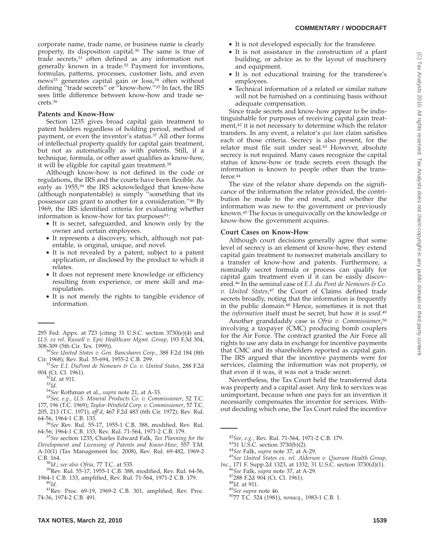## **COMMENTARY / WOODCRAFT**

corporate name, trade name, or business name is clearly property, its disposition capital.30 The same is true of trade secrets,<sup>31</sup> often defined as any information not generally known in a trade.32 Payment for inventions, formulas, patterns, processes, customer lists, and even news<sup>33</sup> generates capital gain or loss,<sup>34</sup> often without defining ''trade secrets'' or ''know-how.''35 In fact, the IRS sees little difference between know-how and trade secrets.36

## **Patents and Know-How**

Section 1235 gives broad capital gain treatment to patent holders regardless of holding period, method of payment, or even the inventor's status.37 All other forms of intellectual property qualify for capital gain treatment, but not as automatically as with patents. Still, if a technique, formula, or other asset qualifies as know-how, it will be eligible for capital gain treatment.38

Although know-how is not defined in the code or regulations, the IRS and the courts have been flexible. As early as 1955,<sup>39</sup> the IRS acknowledged that know-how (although nonpatentable) is simply ''something that its possessor can grant to another for a consideration.''40 By 1969, the IRS identified criteria for evaluating whether information is know-how for tax purposes $41$ :

- It is secret, safeguarded, and known only by the owner and certain employees.
- It represents a discovery, which, although not patentable, is original, unique, and novel.
- It is not revealed by a patent, subject to a patent application, or disclosed by the product to which it relates.
- It does not represent mere knowledge or efficiency resulting from experience, or mere skill and manipulation.
- It is not merely the rights to tangible evidence of information.
- It is not developed especially for the transferee.
- It is not assistance in the construction of a plant building, or advice as to the layout of machinery and equipment.
- It is not educational training for the transferee's employees.
- Technical information of a related or similar nature will not be furnished on a continuing basis without adequate compensation.

Since trade secrets and know-how appear to be indistinguishable for purposes of receiving capital gain treatment,42 it is not necessary to determine which the relator transfers. In any event, a relator's *qui tam* claim satisfies each of those criteria. Secrecy is also present, for the relator must file suit under seal.43 However, absolute secrecy is not required. Many cases recognize the capital status of know-how or trade secrets even though the information is known to people other than the transferor.44

The size of the relator share depends on the significance of the information the relator provided, the contribution he made to the end result, and whether the information was new to the government or previously known.45 The focus is unequivocally on the knowledge or know-how the government acquires.

## **Court Cases on Know-How**

Although court decisions generally agree that some level of secrecy is an element of know-how, they extend capital gain treatment to nonsecret materials ancillary to a transfer of know-how and patents. Furthermore, a nominally secret formula or process can qualify for capital gain treatment even if it can be easily discovered.46 In the seminal case of *E.I. du Pont de Nemours & Co. v. United States*, <sup>47</sup> the Court of Claims defined trade secrets broadly, noting that the information is frequently in the public domain.48 Hence, sometimes it is not that the *information* itself must be secret, but how it is *used*. 49

Another granddaddy case is *Ofria v. Commissioner*, 50 involving a taxpayer (CMC) producing bomb couplers for the Air Force. The contract granted the Air Force all rights to use any data in exchange for incentive payments that CMC and its shareholders reported as capital gain. The IRS argued that the incentive payments were for services, claiming the information was not property, or that even if it was, it was not a trade secret.

Nevertheless, the Tax Court held the transferred data was property and a capital asset. Any link to services was unimportant, because when one pays for an invention it necessarily compensates the inventor for services. Without deciding which one, the Tax Court ruled the incentive

<sup>295</sup> Fed. Appx. at 723 (citing 31 U.S.C. section 3730(e)(4) and *U.S. ex rel. Russell v. Epic Healthcare Mgmt. Group*, 193 F.3d 304, 308-309 (5th Cir. Tex. 1999)). <sup>30</sup>*See United States v. Gen. Bancshares Corp.*, 388 F.2d 184 (8th

Cir. 1968); Rev. Rul. 55-694, 1955-2 C.B. 299. <sup>31</sup>*See E.I. DuPont de Nemours & Co. v. United States*, 288 F.2d

<sup>904 (</sup>Ct. Cl. 1961). <sup>32</sup>*Id*. at 911. <sup>33</sup>*Id*. <sup>34</sup>*See* Rothman et al., *supra* note 21, at A-33. <sup>35</sup>*See, e.g., U.S. Mineral Products Co. v. Commissioner*, 52 T.C. 177, 196 (T.C. 1969); *Taylor-Winfield Corp. v. Commissioner*, 57 T.C. 205, 213 (T.C. 1971), *aff'd*, 467 F.2d 483 (6th Cir. 1972); Rev. Rul.

<sup>&</sup>lt;sup>36</sup>See Rev. Rul. 55-17, 1955-1 C.B. 388, modified, Rev. Rul. 64-56; 1964-1 C.B. 133; Rev. Rul. 71-564, 1971-2 C.B. 179.

<sup>&</sup>lt;sup>37</sup>See section 1235; Charles Edward Falk, *Tax Planning for the Development and Licensing of Patents and Know-How*, 557 T.M. A-10(1) (Tax Management Inc. 2008), Rev. Rul. 69-482, 1969-2

<sup>&</sup>lt;sup>38</sup>Id.; *see also Ofria, 77 T.C. at 535.*<br><sup>39</sup>Rev. Rul. 55-17, 1955-1 C.B. 388, modified, Rev. Rul. 64-56, 1964-1 C.B. 133, amplified, Rev. Rul. 71-564, 1971-2 C.B. 179. <sup>40</sup>*Id*. 41Rev. Proc. 69-19, 1969-2 C.B. 301, amplified, Rev. Proc.

<sup>74-36, 1974-2</sup> C.B. 491.

<sup>&</sup>lt;sup>42</sup>*See, e.g.,* Rev. Rul. 71-564, 1971-2 C.B. 179.<br><sup>43</sup>31 U.S.C. section 3730(b)(2).<br><sup>44</sup>*See* Falk, *supra* note 37, at A-29.<br><sup>45</sup>*See United States ex. rel. Alderson v. Quorum Health Group, Inc.*, 171 F. Supp.2d 1323, at 1332; 31 U.S.C. section 3730(d)(1).

<sup>46</sup>*See* Falk, *supra* note 37, at A-29. 47288 F.2d 904 (Ct. Cl. 1961). <sup>48</sup>*Id*. at 911. <sup>49</sup>*See supra* note 46. 5077 T.C. 524 (1981), *nonacq*., 1983-1 C.B. 1.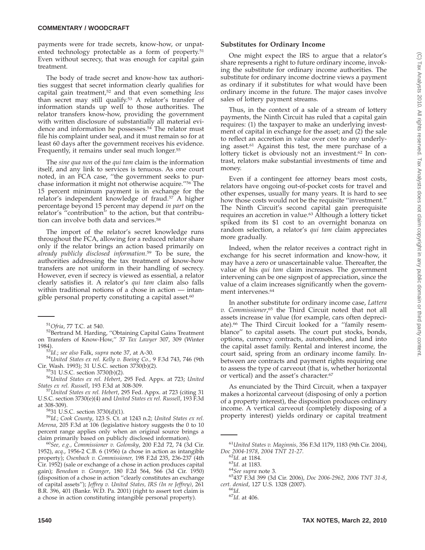payments were for trade secrets, know-how, or unpatented technology protectable as a form of property.<sup>51</sup> Even without secrecy, that was enough for capital gain treatment.

The body of trade secret and know-how tax authorities suggest that secret information clearly qualifies for capital gain treatment,52 and that even something *less* than secret may still qualify.53 A relator's transfer of information stands up well to those authorities. The relator transfers know-how, providing the government with written disclosure of substantially all material evidence and information he possesses.<sup>54</sup> The relator must file his complaint under seal, and it must remain so for at least 60 days after the government receives his evidence. Frequently, it remains under seal much longer.55

The *sine qua non* of the *qui tam* claim is the information itself, and any link to services is tenuous. As one court noted, in an FCA case, ''the government seeks to purchase information it might not otherwise acquire.''56 The 15 percent minimum payment is in exchange for the relator's independent knowledge of fraud.<sup>57</sup> A higher percentage beyond 15 percent may depend *in part* on the relator's ''contribution'' to the action, but that contribution can involve both data and services.<sup>58</sup>

The import of the relator's secret knowledge runs throughout the FCA, allowing for a reduced relator share only if the relator brings an action based primarily on *already publicly disclosed information*. <sup>59</sup> To be sure, the authorities addressing the tax treatment of know-how transfers are not uniform in their handling of secrecy. However, even if secrecy is viewed as essential, a relator clearly satisfies it. A relator's *qui tam* claim also falls within traditional notions of a chose in action — intangible personal property constituting a capital asset.<sup>60</sup>

1984). <sup>53</sup>*Id.*; *see also* Falk, *supra* note 37, at A-30. <sup>54</sup>*United States ex rel. Kelly v. Boeing Co.,* 9 F.3d 743, 746 (9th

<sup>55</sup>31 U.S.C. section 3730(b)(2).<br><sup>56</sup>United *States ex rel. Hebert*, 295 Fed. Appx. at 723; *United States ex rel. Russell*, 193 F.3d at 308-309.

*Inited States ex rel. Hebert, 295 Fed. Appx. at 723 (citing 31* U.S.C. section 3730(e)(4) and *United States ex rel. Russell*, 193 F.3d

at 308-309). 5831 U.S.C. section 3730(d)(1). <sup>59</sup>*Id.*; *Cook County*, 123 S. Ct. at 1243 n.2; *United States ex rel. Merena*, 205 F.3d at 106 (legislative history suggests the 0 to 10 percent range applies only when an original source brings a claim primarily based on publicly disclosed information).

<sup>60</sup>See, e.g., Commissioner v. Golonsky, 200 F.2d 72, 74 (3d Cir. 1952), *acq*., 1956-2 C.B. 6 (1956) (a chose in action as intangible property); *Osenbach v. Commissioner,* 198 F.2d 235, 236-237 (4th Cir. 1952) (sale or exchange of a chose in action produces capital gain); *Benedum v. Granger*, 180 F.2d 564, 566 (3d Cir. 1950) (disposition of a chose in action ''clearly constitutes an exchange of capital assets''); *Jeffrey v. United States, IRS (In re Jeffrey)*, 261 B.R. 396, 401 (Bankr. W.D. Pa. 2001) (right to assert tort claim is a chose in action constituting intangible personal property).

## **Substitutes for Ordinary Income**

One might expect the IRS to argue that a relator's share represents a right to future ordinary income, invoking the substitute for ordinary income authorities. The substitute for ordinary income doctrine views a payment as ordinary if it substitutes for what would have been ordinary income in the future. The major cases involve sales of lottery payment streams.

Thus, in the context of a sale of a stream of lottery payments, the Ninth Circuit has ruled that a capital gain requires: (1) the taxpayer to make an underlying investment of capital in exchange for the asset; and (2) the sale to reflect an accretion in value over cost to any underlying asset.61 Against this test, the mere purchase of a lottery ticket is obviously not an investment.<sup>62</sup> In contrast, relators make substantial investments of time and money.

Even if a contingent fee attorney bears most costs, relators have ongoing out-of-pocket costs for travel and other expenses, usually for many years. It is hard to see how those costs would not be the requisite ''investment.'' The Ninth Circuit's second capital gain prerequisite requires an accretion in value.63 Although a lottery ticket spiked from its \$1 cost to an overnight bonanza on random selection, a relator's *qui tam* claim appreciates more gradually.

Indeed, when the relator receives a contract right in exchange for his secret information and know-how, it may have a zero or unascertainable value. Thereafter, the value of his *qui tam* claim increases. The government intervening can be one signpost of appreciation, since the value of a claim increases significantly when the government intervenes.64

In another substitute for ordinary income case, *Lattera v. Commissioner*, <sup>65</sup> the Third Circuit noted that not all assets increase in value (for example, cars often depreciate).<sup>66</sup> The Third Circuit looked for a "family resemblance'' to capital assets. The court put stocks, bonds, options, currency contracts, automobiles, and land into the capital asset family. Rental and interest income, the court said, spring from an ordinary income family. Inbetween are contracts and payment rights requiring one to assess the type of carveout (that is, whether horizontal or vertical) and the asset's character.67

As enunciated by the Third Circuit, when a taxpayer makes a horizontal carveout (disposing of only a portion of a property interest), the disposition produces ordinary income. A vertical carveout (completely disposing of a property interest) yields ordinary or capital treatment

<sup>&</sup>lt;sup>51</sup>Ofria, 77 T.C. at 540.<br><sup>52</sup>Bertrand M. Harding, "Obtaining Capital Gains Treatment on Transfers of Know-How,'' 37 *Tax Lawyer* 307, 309 (Winter

<sup>&</sup>lt;sup>61</sup>United States v. Maginnis, 356 F.3d 1179, 1183 (9th Cir. 2004), *Doc* 2004-1978, 2004 TNT 21-27.<br><sup>62</sup>*Id.* at 1184.

*Doc 2004-1978*, *2004 TNT 21-27.* <sup>62</sup>*Id.* at 1184. <sup>63</sup>*Id*. at 1183. <sup>64</sup>*See supra* note 3. 65437 F.3d 399 (3d Cir. 2006), *Doc 2006-2962, 2006 TNT 31-8*, *cert. denied*, 127 U.S. 1328 (2007). <sup>66</sup>*Id*. <sup>67</sup>*Id*. at 406.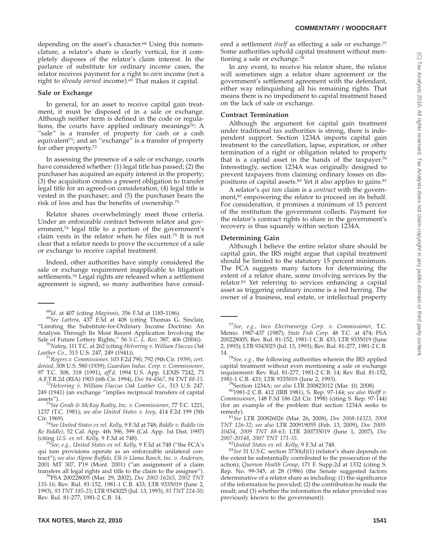## **COMMENTARY / WOODCRAFT**

depending on the asset's character.<sup>68</sup> Using this nomenclature, a relator's share is clearly vertical, for it completely disposes of the relator's claim interest. In the parlance of substitute for ordinary income cases, the relator receives payment for a right to *earn* income (not a right to *already earned* income).69 That makes it capital.

## **Sale or Exchange**

In general, for an asset to receive capital gain treatment, it must be disposed of in a sale or exchange. Although neither term is defined in the code or regulations, the courts have applied ordinary meanings $\bar{z}$ <sup>0</sup>: A "sale" is a transfer of property for cash or a cash equivalent<sup>71</sup>; and an "exchange" is a transfer of property for other property.72

In assessing the presence of a sale or exchange, courts have considered whether: (1) legal title has passed; (2) the purchaser has acquired an equity interest in the property; (3) the acquisition creates a present obligation to transfer legal title for an agreed-on consideration; (4) legal title is vested in the purchaser; and (5) the purchaser bears the risk of loss and has the benefits of ownership.73

Relator shares overwhelmingly meet those criteria. Under an enforceable contract between relator and government,<sup>74</sup> legal title to a portion of the government's claim vests in the relator when he files suit.75 It is not clear that a relator needs to prove the occurrence of a sale or exchange to receive capital treatment.

Indeed, other authorities have simply considered the sale or exchange requirement inapplicable to litigation settlements.76 Legal rights are released when a settlement agreement is signed, so many authorities have consid-

<sup>68</sup>*Id.* at 407 (citing *Maginnis,* 356 F.3d at 1185-1186). <sup>69</sup>*See Lattera*, 437 F.3d at 408 (citing Thomas G. Sinclair, ''Limiting the Substitute-for-Ordinary Income Doctrine: An Analysis Through Its Most Recent Application Involving the Sale of Future Lottery Rights,'' 56 *S.C. L. Rev.* 387, 406 (2004)). <sup>70</sup>*Nahey*, 111 T.C. at 262 (citing *Helvering v. William Flaccus Oak*

*Leather Co.,* 313 U.S. 247, 249 (1941)). <sup>71</sup>*Rogers v. Commissioner,* 103 F.2d 790, 792 (9th Cir. 1939), *cert.*

*denied*, 308 U.S. 580 (1939); *Guardian Indus. Corp. v. Commissioner*, 97 T.C. 308, 318 (1991), *aff'd,* 1994 U.S. App. LEXIS 7242, 73

<sup>72</sup>Helvering v. William Flaccus Oak Leather Co., 313 U.S. 247, 249 (1941) (an exchange ''implies reciprocal transfers of capital

assets''). <sup>73</sup>*See Grodt & McKay Realty, Inc. v. Commissioner*, 77 T.C. 1221, 1237 (T.C. 1981); *see also United States v. Ivey*, 414 F.2d 199 (5th Cir. 1969). <sup>74</sup>*See United States ex rel. Kelly*, 9 F.3d at 748; *Biddle v. Biddle (in*

*Re Biddle),* 52 Cal. App. 4th 396, 399 (Cal. App. 1st Dist. 1997)

<sup>75</sup> See, e.g., United States ex rel. Kelly, 9 F.3d at 748 ("the FCA's qui tam provisions operate as an enforceable unilateral contract''); *see also Alpine Buffalo, Elk & Llama Ranch, Inc. v. Andersen,* 2001 MT 307, P19 (Mont. 2001) (''an assignment of a claim transfers all legal rights and title to the claim to the assignee''). 76FSA 200228005 (Mar. 29, 2002), *Doc 2002-16265*, *2002 TNT*

*135-16*; Rev. Rul. 81-152, 1981-1 C.B. 433; LTR 9335019 (June 2, 1993), *93 TNT 185-25*; LTR 9343025 (Jul. 13, 1993), *93 TNT 224-50*; Rev. Rul. 81-277, 1981-2 C.B. 14.

ered a settlement *itself* as effecting a sale or exchange.<sup>77</sup> Some authorities uphold capital treatment without mentioning a sale or exchange.78

In any event, to receive his relator share, the relator will sometimes sign a relator share agreement or the government's settlement agreement with the defendant, either way relinquishing all his remaining rights. That means there is no impediment to capital treatment based on the lack of sale or exchange.

#### **Contract Termination**

Although the argument for capital gain treatment under traditional tax authorities is strong, there is independent support. Section 1234A imports capital gain treatment to the cancellation, lapse, expiration, or other termination of a right or obligation related to property that is a capital asset in the hands of the taxpayer. $79$ Interestingly, section 1234A was originally designed to prevent taxpayers from claiming ordinary losses on dispositions of capital assets.80 Yet it also applies to gains.81

A relator's *qui tam* claim is a *contract* with the government,<sup>82</sup> empowering the relator to proceed on its behalf. For consideration, it promises a minimum of 15 percent of the restitution the government collects. Payment for the relator's contract rights to share in the government's recovery is thus squarely within section 1234A.

## **Determining Gain**

Although I believe the entire relator share should be capital gain, the IRS might argue that capital treatment should be limited to the statutory 15 percent minimum. The FCA suggests many factors for determining the extent of a relator share, some involving services by the relator.83 Yet referring to services enhancing a capital asset as triggering ordinary income is a red herring. The owner of a business, real estate, or intellectual property

<sup>77</sup>*See, e.g., Inco Electroenergy Corp. v. Commissioner*, T.C. Memo. 1987-437 (1987); *State Fish Corp.* 48 T.C. at 474; FSA 200228005; Rev. Rul. 81-152, 1981-1 C.B. 433; LTR 9335019 (June 2, 1993); LTR 9343025 (Jul. 13, 1993); Rev. Rul. 81-277, 1981-2 C.B.

14. <sup>78</sup>*See, e.g.,* the following authorities wherein the IRS applied capital treatment without even mentioning a sale or exchange requirement: Rev. Rul. 81-277, 1981-2 C.B. 14; Rev. Rul. 81-152,

<sup>79</sup> Section 1234A; *see also* LTR 200823012 (Mar. 10, 2008).<br><sup>80</sup>1981-2 C.B. 412 (IRB 1981), S. Rep. 97-144; *see also Wolff v. Commissioner*, 148 F.3d 186 (2d Cir. 1998) (citing S. Rep. 97-144) (for an example of the problem that section 1234A seeks to

remedy). <sup>81</sup>*See* LTR 200826026 (Mar. 26, 2008), *Doc 2008-14323*, *<sup>2008</sup> TNT 126-32*; *see also* LTR 200919055 (Feb. 13, 2009), *Doc 2009- 10454*, *2009 TNT 88-63*; LTR 200735019 (June 1, 2007), *Doc*

<sup>82</sup>United *States ex rel. Kelly,* 9 F.3d at 748.<br><sup>83</sup>*See* 31 U.S.C. section 3730(d)(1) (relator's share depends on the extent he substantially contributed to the prosecution of the action); *Quorum Health Group*, 171 F. Supp.2d at 1332 (citing S. Rep. No. 99-345, at 28 (1986) (the Senate suggested factors determinative of a relator share as including: (1) the significance of the information he provided; (2) the contribution he made the result; and (3) whether the information the relator provided was previously known to the government)).